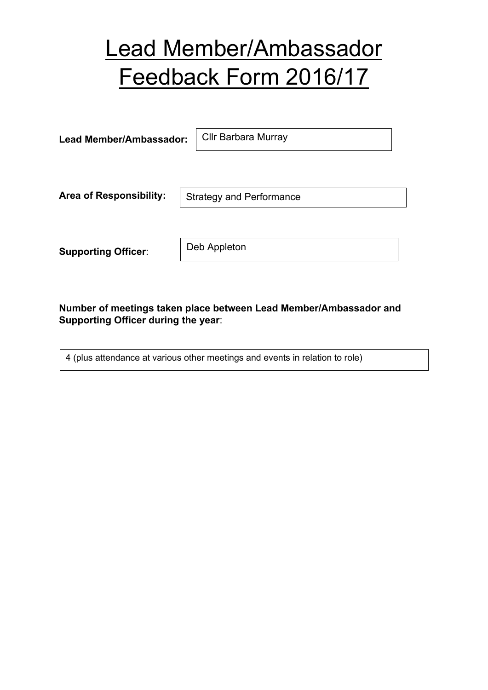## Lead Member/Ambassador Feedback Form 2016/17

| Lead Member/Ambassador:        | <b>Cllr Barbara Murray</b>      |
|--------------------------------|---------------------------------|
|                                |                                 |
| <b>Area of Responsibility:</b> | <b>Strategy and Performance</b> |
|                                |                                 |
| <b>Supporting Officer:</b>     | Deb Appleton                    |

**Number of meetings taken place between Lead Member/Ambassador and Supporting Officer during the year**:

4 (plus attendance at various other meetings and events in relation to role)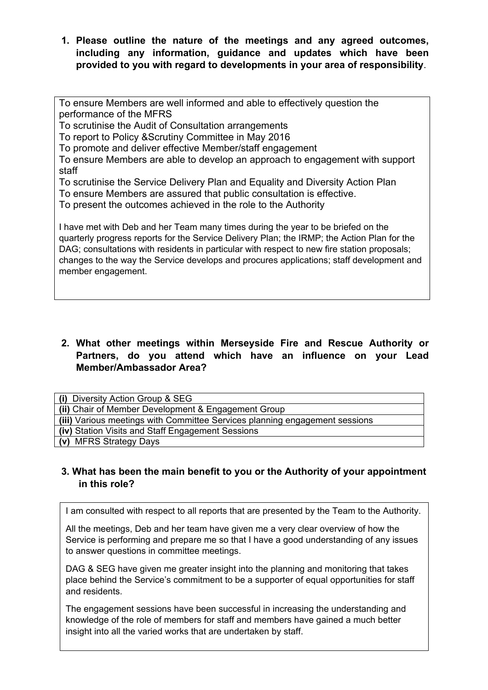**1. Please outline the nature of the meetings and any agreed outcomes, including any information, guidance and updates which have been provided to you with regard to developments in your area of responsibility**.

To ensure Members are well informed and able to effectively question the performance of the MFRS

To scrutinise the Audit of Consultation arrangements

To report to Policy &Scrutiny Committee in May 2016

To promote and deliver effective Member/staff engagement

To ensure Members are able to develop an approach to engagement with support staff

To scrutinise the Service Delivery Plan and Equality and Diversity Action Plan

To ensure Members are assured that public consultation is effective.

To present the outcomes achieved in the role to the Authority

I have met with Deb and her Team many times during the year to be briefed on the quarterly progress reports for the Service Delivery Plan; the IRMP; the Action Plan for the DAG; consultations with residents in particular with respect to new fire station proposals; changes to the way the Service develops and procures applications; staff development and member engagement.

## **2. What other meetings within Merseyside Fire and Rescue Authority or Partners, do you attend which have an influence on your Lead Member/Ambassador Area?**

| (i) Diversity Action Group & SEG                                            |  |
|-----------------------------------------------------------------------------|--|
| (ii) Chair of Member Development & Engagement Group                         |  |
| (iii) Various meetings with Committee Services planning engagement sessions |  |
| (iv) Station Visits and Staff Engagement Sessions                           |  |
| (v) MFRS Strategy Days                                                      |  |

## **3. What has been the main benefit to you or the Authority of your appointment in this role?**

I am consulted with respect to all reports that are presented by the Team to the Authority.

All the meetings, Deb and her team have given me a very clear overview of how the Service is performing and prepare me so that I have a good understanding of any issues to answer questions in committee meetings.

DAG & SEG have given me greater insight into the planning and monitoring that takes place behind the Service's commitment to be a supporter of equal opportunities for staff and residents.

The engagement sessions have been successful in increasing the understanding and knowledge of the role of members for staff and members have gained a much better insight into all the varied works that are undertaken by staff.